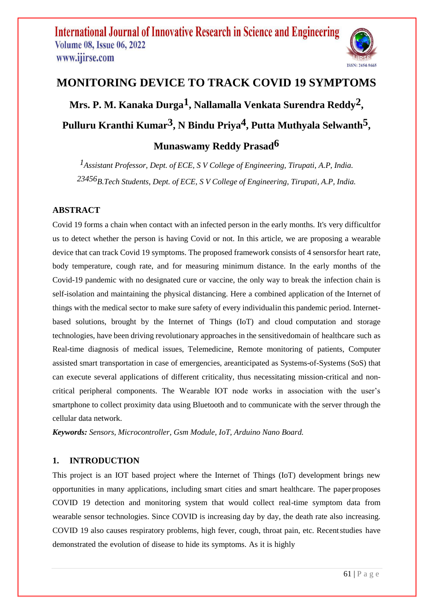

# **MONITORING DEVICE TO TRACK COVID 19 SYMPTOMS**

**Mrs. P. M. Kanaka Durga1, Nallamalla Venkata Surendra Reddy2 ,**

**Pulluru Kranthi Kumar3, N Bindu Priya4, Putta Muthyala Selwanth5 ,**

# **Munaswamy Reddy Prasad6**

*1Assistant Professor, Dept. of ECE, S V College of Engineering, Tirupati, A.P, India. 23456B.Tech Students, Dept. of ECE, S V College of Engineering, Tirupati, A.P, India.*

## **ABSTRACT**

Covid 19 forms a chain when contact with an infected person in the early months. It's very difficultfor us to detect whether the person is having Covid or not. In this article, we are proposing a wearable device that can track Covid 19 symptoms. The proposed framework consists of 4 sensorsfor heart rate, body temperature, cough rate, and for measuring minimum distance. In the early months of the Covid-19 pandemic with no designated cure or vaccine, the only way to break the infection chain is self-isolation and maintaining the physical distancing. Here a combined application of the Internet of things with the medical sector to make sure safety of every individualin this pandemic period. Internetbased solutions, brought by the Internet of Things (IoT) and cloud computation and storage technologies, have been driving revolutionary approaches in the sensitivedomain of healthcare such as Real-time diagnosis of medical issues, Telemedicine, Remote monitoring of patients, Computer assisted smart transportation in case of emergencies, areanticipated as Systems-of-Systems (SoS) that can execute several applications of different criticality, thus necessitating mission-critical and noncritical peripheral components. The Wearable IOT node works in association with the user's smartphone to collect proximity data using Bluetooth and to communicate with the server through the cellular data network.

*Keywords: Sensors, Microcontroller, Gsm Module, IoT, Arduino Nano Board.*

# **1. INTRODUCTION**

This project is an IOT based project where the Internet of Things (IoT) development brings new opportunities in many applications, including smart cities and smart healthcare. The paperproposes COVID 19 detection and monitoring system that would collect real-time symptom data from wearable sensor technologies. Since COVID is increasing day by day, the death rate also increasing. COVID 19 also causes respiratory problems, high fever, cough, throat pain, etc. Recentstudies have demonstrated the evolution of disease to hide its symptoms. As it is highly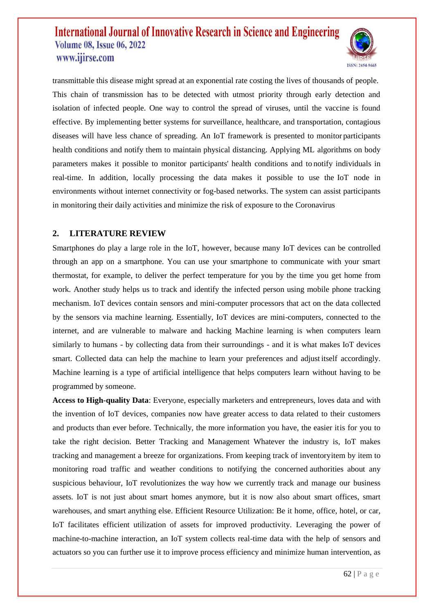

transmittable this disease might spread at an exponential rate costing the lives of thousands of people. This chain of transmission has to be detected with utmost priority through early detection and isolation of infected people. One way to control the spread of viruses, until the vaccine is found effective. By implementing better systems for surveillance, healthcare, and transportation, contagious diseases will have less chance of spreading. An IoT framework is presented to monitor participants health conditions and notify them to maintain physical distancing. Applying ML algorithms on body parameters makes it possible to monitor participants' health conditions and to notify individuals in real-time. In addition, locally processing the data makes it possible to use the IoT node in environments without internet connectivity or fog-based networks. The system can assist participants in monitoring their daily activities and minimize the risk of exposure to the Coronavirus

### **2. LITERATURE REVIEW**

Smartphones do play a large role in the IoT, however, because many IoT devices can be controlled through an app on a smartphone. You can use your smartphone to communicate with your smart thermostat, for example, to deliver the perfect temperature for you by the time you get home from work. Another study helps us to track and identify the infected person using mobile phone tracking mechanism. IoT devices contain sensors and mini-computer processors that act on the data collected by the sensors via machine learning. Essentially, IoT devices are mini-computers, connected to the internet, and are vulnerable to malware and hacking Machine learning is when computers learn similarly to humans - by collecting data from their surroundings - and it is what makes IoT devices smart. Collected data can help the machine to learn your preferences and adjust itself accordingly. Machine learning is a type of artificial intelligence that helps computers learn without having to be programmed by someone.

**Access to High-quality Data**: Everyone, especially marketers and entrepreneurs, loves data and with the invention of IoT devices, companies now have greater access to data related to their customers and products than ever before. Technically, the more information you have, the easier itis for you to take the right decision. Better Tracking and Management Whatever the industry is, IoT makes tracking and management a breeze for organizations. From keeping track of inventoryitem by item to monitoring road traffic and weather conditions to notifying the concerned authorities about any suspicious behaviour, IoT revolutionizes the way how we currently track and manage our business assets. IoT is not just about smart homes anymore, but it is now also about smart offices, smart warehouses, and smart anything else. Efficient Resource Utilization: Be it home, office, hotel, or car, IoT facilitates efficient utilization of assets for improved productivity. Leveraging the power of machine-to-machine interaction, an IoT system collects real-time data with the help of sensors and actuators so you can further use it to improve process efficiency and minimize human intervention, as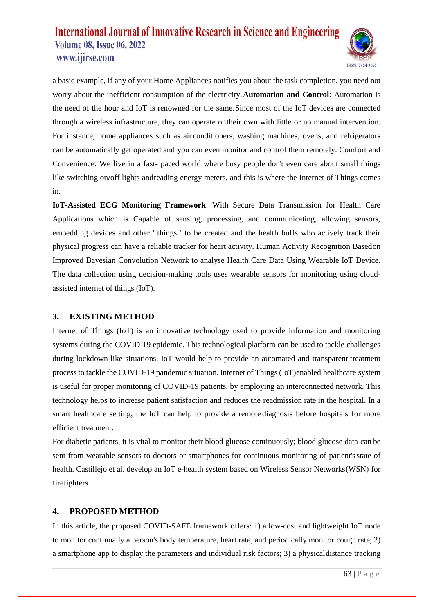

a basic example, if any of your Home Appliances notifies you about the task completion, you need not worry about the inefficient consumption of the electricity.**Automation and Control**: Automation is the need of the hour and IoT is renowned for the same.Since most of the IoT devices are connected through a wireless infrastructure, they can operate ontheir own with little or no manual intervention. For instance, home appliances such as air conditioners, washing machines, ovens, and refrigerators can be automatically get operated and you can even monitor and control them remotely. Comfort and Convenience: We live in a fast- paced world where busy people don't even care about small things like switching on/off lights andreading energy meters, and this is where the Internet of Things comes in.

**IoT-Assisted ECG Monitoring Framework**: With Secure Data Transmission for Health Care Applications which is Capable of sensing, processing, and communicating, allowing sensors, embedding devices and other ' things ' to be created and the health buffs who actively track their physical progress can have a reliable tracker for heart activity. Human Activity Recognition Basedon Improved Bayesian Convolution Network to analyse Health Care Data Using Wearable IoT Device. The data collection using decision-making tools uses wearable sensors for monitoring using cloudassisted internet of things (IoT).

### **3. EXISTING METHOD**

Internet of Things (IoT) is an innovative technology used to provide information and monitoring systems during the COVID-19 epidemic. This technological platform can be used to tackle challenges during lockdown-like situations. IoT would help to provide an automated and transparent treatment process to tackle the COVID-19 pandemic situation. Internet of Things (IoT)enabled healthcare system is useful for proper monitoring of COVID-19 patients, by employing an interconnected network. This technology helps to increase patient satisfaction and reduces the readmission rate in the hospital. In a smart healthcare setting, the IoT can help to provide a remote diagnosis before hospitals for more efficient treatment.

For diabetic patients, it is vital to monitor their blood glucose continuously; blood glucose data can be sent from wearable sensors to doctors or smartphones for continuous monitoring of patient'sstate of health. Castillejo et al. develop an IoT e-health system based on Wireless Sensor Networks(WSN) for firefighters.

### **4. PROPOSED METHOD**

In this article, the proposed COVID-SAFE framework offers: 1) a low-cost and lightweight IoT node to monitor continually a person's body temperature, heart rate, and periodically monitor cough rate; 2) a smartphone app to display the parameters and individual risk factors; 3) a physicaldistance tracking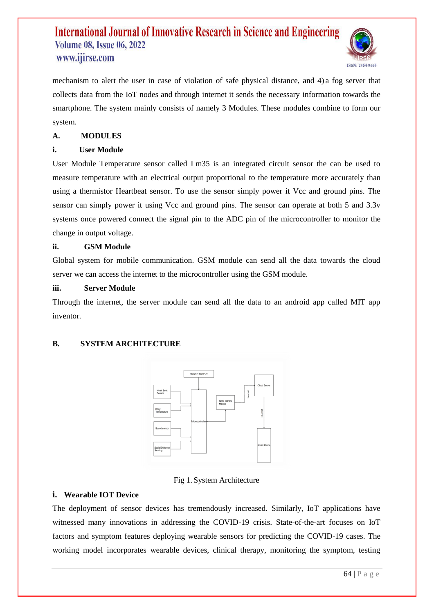

mechanism to alert the user in case of violation of safe physical distance, and 4) a fog server that collects data from the IoT nodes and through internet it sends the necessary information towards the smartphone. The system mainly consists of namely 3 Modules. These modules combine to form our system.

### **A. MODULES**

### **i. User Module**

User Module Temperature sensor called Lm35 is an integrated circuit sensor the can be used to measure temperature with an electrical output proportional to the temperature more accurately than using a thermistor Heartbeat sensor. To use the sensor simply power it Vcc and ground pins. The sensor can simply power it using Vcc and ground pins. The sensor can operate at both 5 and 3.3v systems once powered connect the signal pin to the ADC pin of the microcontroller to monitor the change in output voltage.

#### **ii. GSM Module**

Global system for mobile communication. GSM module can send all the data towards the cloud server we can access the internet to the microcontroller using the GSM module.

#### **iii. Server Module**

Through the internet, the server module can send all the data to an android app called MIT app inventor.

### **B. SYSTEM ARCHITECTURE**



#### Fig 1. System Architecture

#### **i. Wearable IOT Device**

The deployment of sensor devices has tremendously increased. Similarly, IoT applications have witnessed many innovations in addressing the COVID-19 crisis. State-of-the-art focuses on IoT factors and symptom features deploying wearable sensors for predicting the COVID-19 cases. The working model incorporates wearable devices, clinical therapy, monitoring the symptom, testing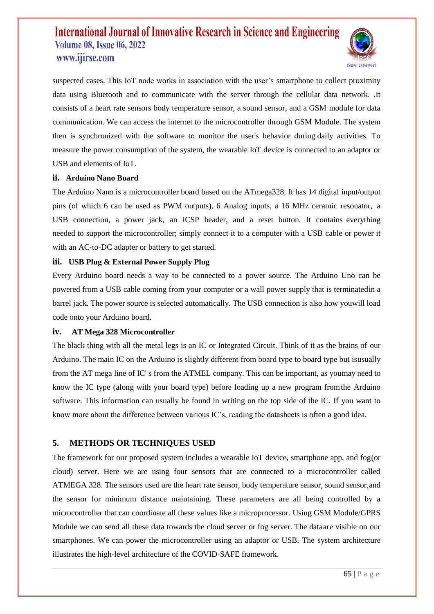

suspected cases. This IoT node works in association with the user's smartphone to collect proximity data using Bluetooth and to communicate with the server through the cellular data network. .It consists of a heart rate sensors body temperature sensor, a sound sensor, and a GSM module for data communication. We can access the internet to the microcontroller through GSM Module. The system then is synchronized with the software to monitor the user's behavior during daily activities. To measure the power consumption of the system, the wearable IoT device is connected to an adaptor or USB and elements of IoT.

#### **ii. Arduino Nano Board**

The Arduino Nano is a microcontroller board based on the ATmega328. It has 14 digital input/output pins (of which 6 can be used as PWM outputs), 6 Analog inputs, a 16 MHz ceramic resonator, a USB connection, a power jack, an ICSP header, and a reset button. It contains everything needed to support the microcontroller; simply connect it to a computer with a USB cable or power it with an AC-to-DC adapter or battery to get started.

### **iii. USB Plug & External Power Supply Plug**

Every Arduino board needs a way to be connected to a power source. The Arduino Uno can be powered from a USB cable coming from your computer or a wall power supply that is terminatedin a barrel jack. The power source is selected automatically. The USB connection is also how youwill load code onto your Arduino board.

#### **iv. AT Mega 328 Microcontroller**

The black thing with all the metal legs is an IC or Integrated Circuit. Think of it as the brains of our Arduino. The main IC on the Arduino is slightly different from board type to board type but isusually from the AT mega line of IC' s from the ATMEL company. This can be important, as youmay need to know the IC type (along with your board type) before loading up a new program fromthe Arduino software. This information can usually be found in writing on the top side of the IC. If you want to know more about the difference between various IC's, reading the datasheets is often a good idea.

### **5. METHODS OR TECHNIQUES USED**

The framework for our proposed system includes a wearable IoT device, smartphone app, and fog(or cloud) server. Here we are using four sensors that are connected to a microcontroller called ATMEGA 328. The sensors used are the heart rate sensor, body temperature sensor, sound sensor,and the sensor for minimum distance maintaining. These parameters are all being controlled by a microcontroller that can coordinate all these values like a microprocessor. Using GSM Module/GPRS Module we can send all these data towards the cloud server or fog server. The dataare visible on our smartphones. We can power the microcontroller using an adaptor or USB. The system architecture illustrates the high-level architecture of the COVID-SAFE framework.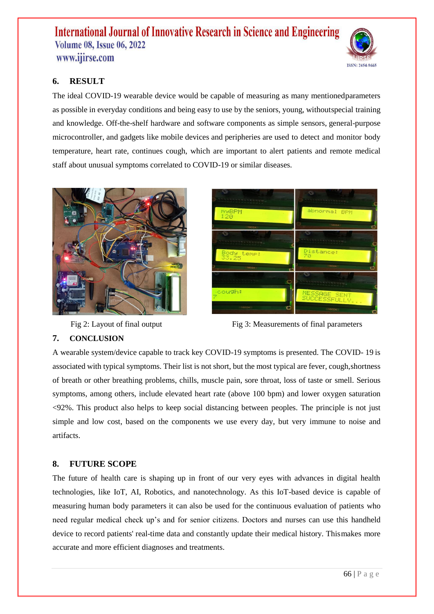

# **6. RESULT**

The ideal COVID-19 wearable device would be capable of measuring as many mentionedparameters as possible in everyday conditions and being easy to use by the seniors, young, withoutspecial training and knowledge. Off-the-shelf hardware and software components as simple sensors, general-purpose microcontroller, and gadgets like mobile devices and peripheries are used to detect and monitor body temperature, heart rate, continues cough, which are important to alert patients and remote medical staff about unusual symptoms correlated to COVID-19 or similar diseases.





Fig 2: Layout of final output Fig 3: Measurements of final parameters

## **7. CONCLUSION**

A wearable system/device capable to track key COVID-19 symptoms is presented. The COVID- 19 is associated with typical symptoms. Their list is not short, but the most typical are fever, cough,shortness of breath or other breathing problems, chills, muscle pain, sore throat, loss of taste or smell. Serious symptoms, among others, include elevated heart rate (above 100 bpm) and lower oxygen saturation <92%. This product also helps to keep social distancing between peoples. The principle is not just simple and low cost, based on the components we use every day, but very immune to noise and artifacts.

## **8. FUTURE SCOPE**

The future of health care is shaping up in front of our very eyes with advances in digital health technologies, like IoT, AI, Robotics, and nanotechnology. As this IoT-based device is capable of measuring human body parameters it can also be used for the continuous evaluation of patients who need regular medical check up's and for senior citizens. Doctors and nurses can use this handheld device to record patients' real-time data and constantly update their medical history. Thismakes more accurate and more efficient diagnoses and treatments.